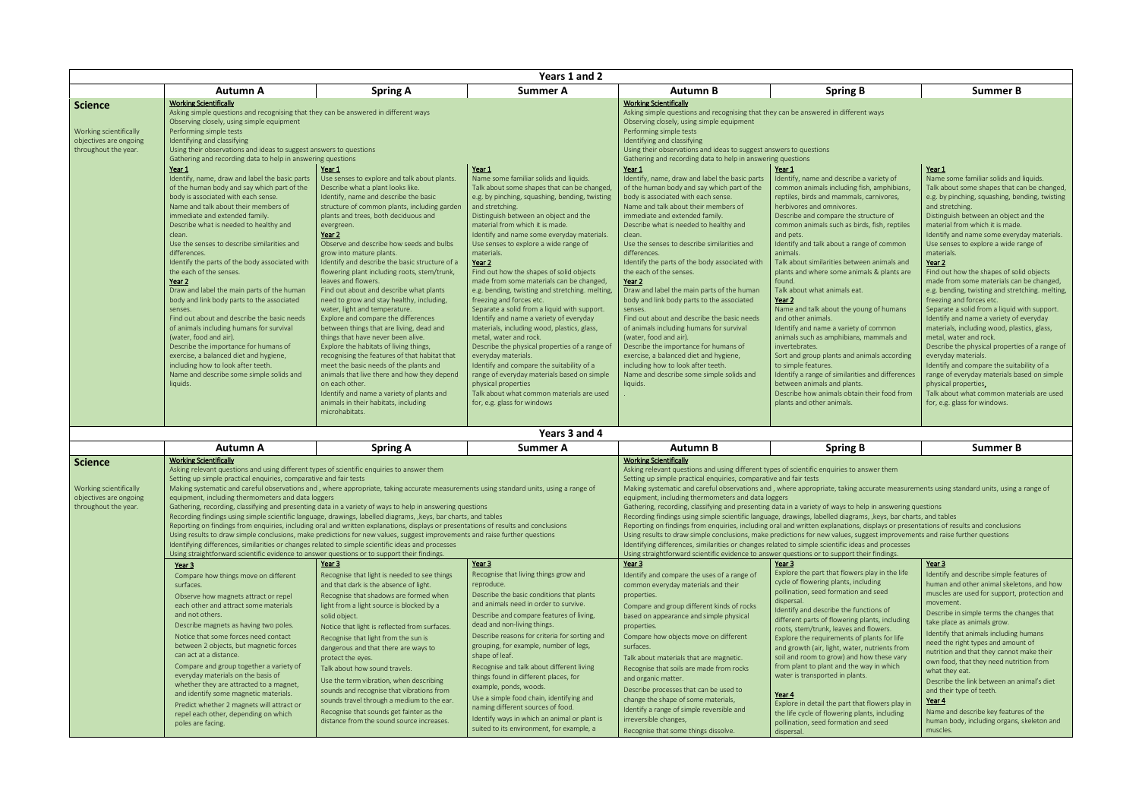Describe processes that can be used to change the shape of some materials, Identify a range of simple reversible and

|                                                                                            |                                                                                                                                                                                                                                                                                                                                                                                                                                                                                                                                                                                                                                                                                                                                                                                                                                                                                                                                                                                                                                                                                                                                                                                                                     |                                                                                                                                                                                                                                                                                                                                                                                                                                                                                                                                                                                                                                                                                                                                                                                                                                                                                                                                                                                                                      | Years 1 and 2                                                                                                                                                                                                                                                                                                                                                                                                                                                                                                                                                                                                                                                                                                                                                                                                                                                                                                                                                                             |                                                                                                                                                                                                                                                                                                                                                                                                                                                                                                                                                                                                                                                                                                                                                                                                                                                                                                                                                                                                                                                                                                                                                                                                                    |                                                                                                                                                                                                                                                                                                                                                                                                                                                                                                                                                                                                                                                                                                                                                                                                                                                                                                       |                                                                                                                                                                                                                                                                                                                                                                                                                                                                                                                                                                                                                                                                                                                                                                                                                                                                                                                                                                                      |
|--------------------------------------------------------------------------------------------|---------------------------------------------------------------------------------------------------------------------------------------------------------------------------------------------------------------------------------------------------------------------------------------------------------------------------------------------------------------------------------------------------------------------------------------------------------------------------------------------------------------------------------------------------------------------------------------------------------------------------------------------------------------------------------------------------------------------------------------------------------------------------------------------------------------------------------------------------------------------------------------------------------------------------------------------------------------------------------------------------------------------------------------------------------------------------------------------------------------------------------------------------------------------------------------------------------------------|----------------------------------------------------------------------------------------------------------------------------------------------------------------------------------------------------------------------------------------------------------------------------------------------------------------------------------------------------------------------------------------------------------------------------------------------------------------------------------------------------------------------------------------------------------------------------------------------------------------------------------------------------------------------------------------------------------------------------------------------------------------------------------------------------------------------------------------------------------------------------------------------------------------------------------------------------------------------------------------------------------------------|-------------------------------------------------------------------------------------------------------------------------------------------------------------------------------------------------------------------------------------------------------------------------------------------------------------------------------------------------------------------------------------------------------------------------------------------------------------------------------------------------------------------------------------------------------------------------------------------------------------------------------------------------------------------------------------------------------------------------------------------------------------------------------------------------------------------------------------------------------------------------------------------------------------------------------------------------------------------------------------------|--------------------------------------------------------------------------------------------------------------------------------------------------------------------------------------------------------------------------------------------------------------------------------------------------------------------------------------------------------------------------------------------------------------------------------------------------------------------------------------------------------------------------------------------------------------------------------------------------------------------------------------------------------------------------------------------------------------------------------------------------------------------------------------------------------------------------------------------------------------------------------------------------------------------------------------------------------------------------------------------------------------------------------------------------------------------------------------------------------------------------------------------------------------------------------------------------------------------|-------------------------------------------------------------------------------------------------------------------------------------------------------------------------------------------------------------------------------------------------------------------------------------------------------------------------------------------------------------------------------------------------------------------------------------------------------------------------------------------------------------------------------------------------------------------------------------------------------------------------------------------------------------------------------------------------------------------------------------------------------------------------------------------------------------------------------------------------------------------------------------------------------|--------------------------------------------------------------------------------------------------------------------------------------------------------------------------------------------------------------------------------------------------------------------------------------------------------------------------------------------------------------------------------------------------------------------------------------------------------------------------------------------------------------------------------------------------------------------------------------------------------------------------------------------------------------------------------------------------------------------------------------------------------------------------------------------------------------------------------------------------------------------------------------------------------------------------------------------------------------------------------------|
|                                                                                            | <b>Autumn A</b>                                                                                                                                                                                                                                                                                                                                                                                                                                                                                                                                                                                                                                                                                                                                                                                                                                                                                                                                                                                                                                                                                                                                                                                                     | <b>Spring A</b>                                                                                                                                                                                                                                                                                                                                                                                                                                                                                                                                                                                                                                                                                                                                                                                                                                                                                                                                                                                                      | <b>Summer A</b>                                                                                                                                                                                                                                                                                                                                                                                                                                                                                                                                                                                                                                                                                                                                                                                                                                                                                                                                                                           | <b>Autumn B</b>                                                                                                                                                                                                                                                                                                                                                                                                                                                                                                                                                                                                                                                                                                                                                                                                                                                                                                                                                                                                                                                                                                                                                                                                    | <b>Spring B</b>                                                                                                                                                                                                                                                                                                                                                                                                                                                                                                                                                                                                                                                                                                                                                                                                                                                                                       | <b>Summer B</b>                                                                                                                                                                                                                                                                                                                                                                                                                                                                                                                                                                                                                                                                                                                                                                                                                                                                                                                                                                      |
| <b>Science</b><br>Working scientifically<br>objectives are ongoing<br>throughout the year. | <b>Working Scientifically</b><br>Asking simple questions and recognising that they can be answered in different ways<br>Observing closely, using simple equipment<br>Performing simple tests<br>Identifying and classifying<br>Using their observations and ideas to suggest answers to questions<br>Gathering and recording data to help in answering questions<br>Year 1<br>Identify, name, draw and label the basic parts<br>of the human body and say which part of the<br>body is associated with each sense.<br>Name and talk about their members of<br>immediate and extended family.<br>Describe what is needed to healthy and<br>clean.<br>Use the senses to describe similarities and<br>differences.<br>Identify the parts of the body associated with<br>the each of the senses.<br>Year 2<br>Draw and label the main parts of the human<br>body and link body parts to the associated<br>senses.<br>Find out about and describe the basic needs<br>of animals including humans for survival<br>(water, food and air).<br>Describe the importance for humans of<br>exercise, a balanced diet and hygiene,<br>including how to look after teeth.<br>Name and describe some simple solids and<br>liquids. | Year 1<br>Use senses to explore and talk about plants.<br>Describe what a plant looks like.<br>Identify, name and describe the basic<br>structure of common plants, including garden<br>plants and trees, both deciduous and<br>evergreen.<br>Year 2<br>Observe and describe how seeds and bulbs<br>grow into mature plants.<br>Identify and describe the basic structure of a<br>flowering plant including roots, stem/trunk,<br>leaves and flowers.<br>Find out about and describe what plants<br>need to grow and stay healthy, including,<br>water, light and temperature.<br>Explore and compare the differences<br>between things that are living, dead and<br>things that have never been alive.<br>Explore the habitats of living things,<br>recognising the features of that habitat that<br>meet the basic needs of the plants and<br>animals that live there and how they depend<br>on each other.<br>Identify and name a variety of plants and<br>animals in their habitats, including<br>microhabitats. | <u>Year 1</u><br>Name some familiar solids and liquids.<br>Talk about some shapes that can be changed,<br>e.g. by pinching, squashing, bending, twisting<br>and stretching.<br>Distinguish between an object and the<br>material from which it is made.<br>Identify and name some everyday materials.<br>Use senses to explore a wide range of<br>materials.<br>Year 2<br>Find out how the shapes of solid objects<br>made from some materials can be changed,<br>e.g. bending, twisting and stretching. melting,<br>freezing and forces etc.<br>Separate a solid from a liquid with support.<br>Identify and name a variety of everyday<br>materials, including wood, plastics, glass,<br>metal, water and rock.<br>Describe the physical properties of a range of<br>everyday materials.<br>Identify and compare the suitability of a<br>range of everyday materials based on simple<br>physical properties<br>Talk about what common materials are used<br>for, e.g. glass for windows | <b>Working Scientifically</b><br>Asking simple questions and recognising that they can be answered in different ways<br>Observing closely, using simple equipment<br>Performing simple tests<br>Identifying and classifying<br>Using their observations and ideas to suggest answers to questions<br>Gathering and recording data to help in answering questions<br>Year 1<br>Identify, name, draw and label the basic parts<br>of the human body and say which part of the<br>body is associated with each sense.<br>Name and talk about their members of<br>immediate and extended family.<br>Describe what is needed to healthy and<br>clean.<br>Use the senses to describe similarities and<br>differences<br>Identify the parts of the body associated with<br>the each of the senses.<br>Year 2<br>Draw and label the main parts of the human<br>body and link body parts to the associated<br>senses.<br>Find out about and describe the basic needs<br>of animals including humans for survival<br>(water, food and air).<br>Describe the importance for humans of<br>exercise, a balanced diet and hygiene,<br>including how to look after teeth.<br>Name and describe some simple solids and<br>liquids. | Year 1<br>Identify, name and describe a variety of<br>common animals including fish, amphibians,<br>reptiles, birds and mammals, carnivores,<br>herbivores and omnivores.<br>Describe and compare the structure of<br>common animals such as birds, fish, reptiles<br>and pets.<br>Identify and talk about a range of common<br>animals.<br>Talk about similarities between animals and<br>plants and where some animals & plants are<br>found.<br>Talk about what animals eat.<br>Year 2<br>Name and talk about the young of humans<br>and other animals.<br>Identify and name a variety of common<br>animals such as amphibians, mammals and<br>invertebrates.<br>Sort and group plants and animals according<br>to simple features.<br>Identify a range of similarities and differences<br>between animals and plants.<br>Describe how animals obtain their food from<br>plants and other animals. | Year 1<br>Name some familiar solids and liquids.<br>Talk about some shapes that can be changed,<br>e.g. by pinching, squashing, bending, twisting<br>and stretching.<br>Distinguish between an object and the<br>material from which it is made.<br>Identify and name some everyday materials.<br>Use senses to explore a wide range of<br>materials.<br>Year 2<br>Find out how the shapes of solid objects<br>made from some materials can be changed,<br>e.g. bending, twisting and stretching. melting,<br>freezing and forces etc.<br>Separate a solid from a liquid with support.<br>Identify and name a variety of everyday<br>materials, including wood, plastics, glass,<br>metal, water and rock.<br>Describe the physical properties of a range of<br>everyday materials.<br>Identify and compare the suitability of a<br>range of everyday materials based on simple<br>physical properties.<br>Talk about what common materials are used<br>for, e.g. glass for windows. |
|                                                                                            |                                                                                                                                                                                                                                                                                                                                                                                                                                                                                                                                                                                                                                                                                                                                                                                                                                                                                                                                                                                                                                                                                                                                                                                                                     |                                                                                                                                                                                                                                                                                                                                                                                                                                                                                                                                                                                                                                                                                                                                                                                                                                                                                                                                                                                                                      | Years 3 and 4                                                                                                                                                                                                                                                                                                                                                                                                                                                                                                                                                                                                                                                                                                                                                                                                                                                                                                                                                                             |                                                                                                                                                                                                                                                                                                                                                                                                                                                                                                                                                                                                                                                                                                                                                                                                                                                                                                                                                                                                                                                                                                                                                                                                                    |                                                                                                                                                                                                                                                                                                                                                                                                                                                                                                                                                                                                                                                                                                                                                                                                                                                                                                       |                                                                                                                                                                                                                                                                                                                                                                                                                                                                                                                                                                                                                                                                                                                                                                                                                                                                                                                                                                                      |
|                                                                                            | <b>Autumn A</b>                                                                                                                                                                                                                                                                                                                                                                                                                                                                                                                                                                                                                                                                                                                                                                                                                                                                                                                                                                                                                                                                                                                                                                                                     | <b>Spring A</b>                                                                                                                                                                                                                                                                                                                                                                                                                                                                                                                                                                                                                                                                                                                                                                                                                                                                                                                                                                                                      | <b>Summer A</b>                                                                                                                                                                                                                                                                                                                                                                                                                                                                                                                                                                                                                                                                                                                                                                                                                                                                                                                                                                           | <b>Autumn B</b>                                                                                                                                                                                                                                                                                                                                                                                                                                                                                                                                                                                                                                                                                                                                                                                                                                                                                                                                                                                                                                                                                                                                                                                                    | <b>Spring B</b>                                                                                                                                                                                                                                                                                                                                                                                                                                                                                                                                                                                                                                                                                                                                                                                                                                                                                       | <b>Summer B</b>                                                                                                                                                                                                                                                                                                                                                                                                                                                                                                                                                                                                                                                                                                                                                                                                                                                                                                                                                                      |
| <b>Science</b><br>Working scientifically<br>objectives are ongoing<br>throughout the year. | <b>Working Scientifically</b><br>Asking relevant questions and using different types of scientific enquiries to answer them<br>Setting up simple practical enquiries, comparative and fair tests<br>Making systematic and careful observations and, where appropriate, taking accurate measurements using standard units, using a range of<br>equipment, including thermometers and data loggers<br>Gathering, recording, classifying and presenting data in a variety of ways to help in answering questions<br>Recording findings using simple scientific language, drawings, labelled diagrams, , keys, bar charts, and tables<br>Reporting on findings from enquiries, including oral and written explanations, displays or presentations of results and conclusions<br>Using results to draw simple conclusions, make predictions for new values, suggest improvements and raise further questions<br>Identifying differences, similarities or changes related to simple scientific ideas and processes<br>Using straightforward scientific evidence to answer questions or to support their findings.                                                                                                         |                                                                                                                                                                                                                                                                                                                                                                                                                                                                                                                                                                                                                                                                                                                                                                                                                                                                                                                                                                                                                      |                                                                                                                                                                                                                                                                                                                                                                                                                                                                                                                                                                                                                                                                                                                                                                                                                                                                                                                                                                                           | <b>Working Scientifically</b><br>Asking relevant questions and using different types of scientific enquiries to answer them<br>Setting up simple practical enquiries, comparative and fair tests<br>Making systematic and careful observations and, where appropriate, taking accurate measurements using standard units, using a range of<br>equipment, including thermometers and data loggers<br>Gathering, recording, classifying and presenting data in a variety of ways to help in answering questions<br>Recording findings using simple scientific language, drawings, labelled diagrams, , keys, bar charts, and tables<br>Reporting on findings from enquiries, including oral and written explanations, displays or presentations of results and conclusions<br>Using results to draw simple conclusions, make predictions for new values, suggest improvements and raise further questions<br>Identifying differences, similarities or changes related to simple scientific ideas and processes<br>Using straightforward scientific evidence to answer questions or to support their findings.                                                                                                        |                                                                                                                                                                                                                                                                                                                                                                                                                                                                                                                                                                                                                                                                                                                                                                                                                                                                                                       |                                                                                                                                                                                                                                                                                                                                                                                                                                                                                                                                                                                                                                                                                                                                                                                                                                                                                                                                                                                      |
|                                                                                            | Year 3<br>Compare how things move on different<br>surfaces.<br>Observe how magnets attract or repel<br>each other and attract some materials<br>and not others.<br>Describe magnets as having two poles.<br>Notice that some forces need contact<br>between 2 objects, but magnetic forces<br>can act at a distance.<br>Compare and group together a variety of                                                                                                                                                                                                                                                                                                                                                                                                                                                                                                                                                                                                                                                                                                                                                                                                                                                     | Year 3<br>Recognise that light is needed to see things<br>and that dark is the absence of light.<br>Recognise that shadows are formed when<br>light from a light source is blocked by a<br>solid object.<br>Notice that light is reflected from surfaces.<br>Recognise that light from the sun is<br>dangerous and that there are ways to<br>protect the eyes.<br>Talk about how sound travels.                                                                                                                                                                                                                                                                                                                                                                                                                                                                                                                                                                                                                      | Year 3<br>Recognise that living things grow and<br>reproduce.<br>Describe the basic conditions that plants<br>and animals need in order to survive.<br>Describe and compare features of living,<br>dead and non-living things.<br>Describe reasons for criteria for sorting and<br>grouping, for example, number of legs,<br>shape of leaf.<br>Recognise and talk about different living                                                                                                                                                                                                                                                                                                                                                                                                                                                                                                                                                                                                  | Year 3<br>Identify and compare the uses of a range of<br>common everyday materials and their<br>properties.<br>Compare and group different kinds of rocks<br>based on appearance and simple physical<br>properties.<br>Compare how objects move on different<br>surfaces.<br>Talk about materials that are magnetic.<br>Recognise that soils are made from rocks                                                                                                                                                                                                                                                                                                                                                                                                                                                                                                                                                                                                                                                                                                                                                                                                                                                   | Year 3<br>Explore the part that flowers play in the life<br>cycle of flowering plants, including<br>pollination, seed formation and seed<br>dispersal.<br>Identify and describe the functions of<br>different parts of flowering plants, including<br>roots, stem/trunk, leaves and flowers.<br>Explore the requirements of plants for life<br>and growth (air, light, water, nutrients from<br>soil and room to grow) and how these vary<br>from plant to plant and the way in which                                                                                                                                                                                                                                                                                                                                                                                                                 | Year 3<br>Identify and describe simple features of<br>human and other animal skeletons, and how<br>muscles are used for support, protection and<br>movement.<br>Describe in simple terms the changes that<br>take place as animals grow.<br>Identify that animals including humans<br>need the right types and amount of<br>nutrition and that they cannot make their<br>own food, that they need nutrition from<br>what they eat                                                                                                                                                                                                                                                                                                                                                                                                                                                                                                                                                    |

everyday materials on the basis of whether they are attracted to a magnet, and identify some magnetic materials. Predict whether 2 magnets will attract or repel each other, depending on which

poles are facing.

Year 4

Use the term vibration, when describing sounds and recognise that vibrations from sounds travel through a medium to the ear. Recognise that sounds get fainter as the distance from the sound source increases.

things found in different places, for

example, ponds, woods.

Use a simple food chain, identifying and naming different sources of food. Identify ways in which an animal or plant is suited to its environment, for example, a

and organic matter.

irreversible changes,

Recognise that some things dissolve.

water is transported in plants.

Explore in detail the part that flowers play in the life cycle of flowering plants, including pollination, seed formation and seed dispersal.

- 
- 
- 
- 
- 

what they eat. Describe the link between an animal's diet and their type of teeth. Year 4 Name and describe key features of the human body, including organs, skeleton and muscles.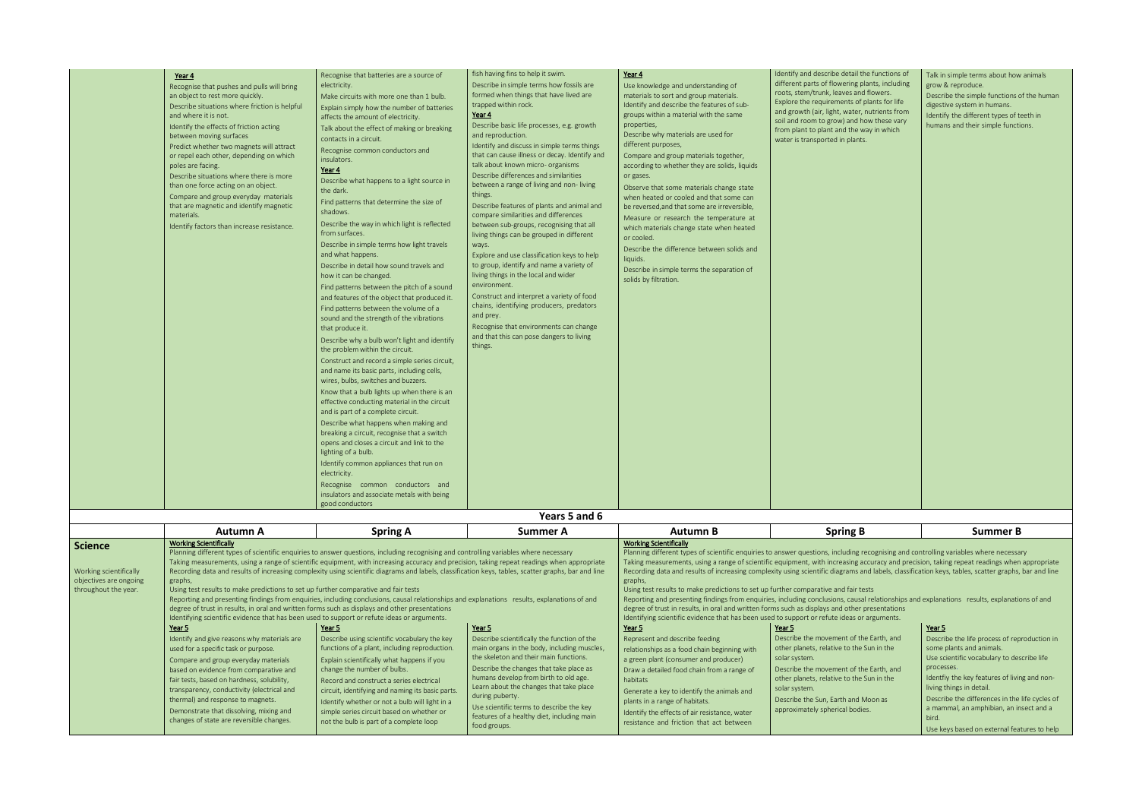| he functions of<br>plants, including<br>d flowers.<br>plants for life<br>nutrients from<br>now these vary<br>way in which<br>S. | Talk in simple terms about how animals<br>grow & reproduce.<br>Describe the simple functions of the human<br>digestive system in humans.<br>Identify the different types of teeth in<br>humans and their simple functions.                                          |
|---------------------------------------------------------------------------------------------------------------------------------|---------------------------------------------------------------------------------------------------------------------------------------------------------------------------------------------------------------------------------------------------------------------|
|                                                                                                                                 |                                                                                                                                                                                                                                                                     |
|                                                                                                                                 |                                                                                                                                                                                                                                                                     |
| 3                                                                                                                               | <b>Summer B</b>                                                                                                                                                                                                                                                     |
| ests<br>presentations<br>r arguments.                                                                                           | recognising and controlling variables where necessary<br>accuracy and precision, taking repeat readings when appropriate<br>and labels, classification keys, tables, scatter graphs, bar and line<br>al relationships and explanations results, explanations of and |
|                                                                                                                                 | Year 5                                                                                                                                                                                                                                                              |
| he Earth, and<br>Sun in the                                                                                                     | Describe the life process of reproduction in<br>some plants and animals.                                                                                                                                                                                            |
|                                                                                                                                 | Use scientific vocabulary to describe life<br>processes.                                                                                                                                                                                                            |
| he Earth, and<br>Sun in the                                                                                                     | Identfiy the key features of living and non-                                                                                                                                                                                                                        |
|                                                                                                                                 | living things in detail.                                                                                                                                                                                                                                            |

Describe the differences in the life cycles of a mammal, an amphibian, an insect and a bird. Use keys based on external features to help

|                                                                                     | Year 4<br>Recognise that pushes and pulls will bring<br>an object to rest more quickly.<br>Describe situations where friction is helpful<br>and where it is not.<br>Identify the effects of friction acting<br>between moving surfaces<br>Predict whether two magnets will attract<br>or repel each other, depending on which<br>poles are facing.<br>Describe situations where there is more<br>than one force acting on an object.<br>Compare and group everyday materials<br>that are magnetic and identify magnetic<br>materials.<br>Identify factors than increase resistance.                                                                                                                                                                                                                                                                                                                                            | Recognise that batteries are a source of<br>electricity.<br>Make circuits with more one than 1 bulb.<br>Explain simply how the number of batteries<br>affects the amount of electricity.<br>Talk about the effect of making or breaking<br>contacts in a circuit.<br>Recognise common conductors and<br>insulators.<br>Year 4<br>Describe what happens to a light source in<br>the dark.<br>Find patterns that determine the size of<br>shadows.<br>Describe the way in which light is reflected<br>from surfaces.<br>Describe in simple terms how light travels<br>and what happens.<br>Describe in detail how sound travels and<br>how it can be changed.<br>Find patterns between the pitch of a sound<br>and features of the object that produced it.<br>Find patterns between the volume of a<br>sound and the strength of the vibrations<br>that produce it.<br>Describe why a bulb won't light and identify<br>the problem within the circuit.<br>Construct and record a simple series circuit,<br>and name its basic parts, including cells,<br>wires, bulbs, switches and buzzers.<br>Know that a bulb lights up when there is an<br>effective conducting material in the circuit<br>and is part of a complete circuit.<br>Describe what happens when making and<br>breaking a circuit, recognise that a switch<br>opens and closes a circuit and link to the<br>lighting of a bulb.<br>Identify common appliances that run on<br>electricity.<br>Recognise common conductors and<br>insulators and associate metals with being | fish having fins to help it swim.<br>Describe in simple terms how fossils are<br>formed when things that have lived are<br>trapped within rock.<br>Year 4<br>Describe basic life processes, e.g. growth<br>and reproduction.<br>Identify and discuss in simple terms things<br>that can cause illness or decay. Identify and<br>talk about known micro- organisms<br>Describe differences and similarities<br>between a range of living and non-living<br>things.<br>Describe features of plants and animal and<br>compare similarities and differences<br>between sub-groups, recognising that all<br>living things can be grouped in different<br>ways.<br>Explore and use classification keys to help<br>to group, identify and name a variety of<br>living things in the local and wider<br>environment.<br>Construct and interpret a variety of food<br>chains, identifying producers, predators<br>and prey.<br>Recognise that environments can change<br>and that this can pose dangers to living<br>things. | Year 4<br>Use knowledge and understanding of<br>materials to sort and group materials.<br>Identify and describe the features of sub-<br>groups within a material with the same<br>properties,<br>Describe why materials are used for<br>different purposes,<br>Compare and group materials together,<br>according to whether they are solids, liquids<br>or gases.<br>Observe that some materials change state<br>when heated or cooled and that some can<br>be reversed, and that some are irreversible,<br>Measure or research the temperature at<br>which materials change state when heated<br>or cooled.<br>Describe the difference between solids and<br>liquids.<br>Describe in simple terms the separation of<br>solids by filtration.                                                                                                                                                                                 | Identify and describe detail the functions of<br>different parts of flowering plants, including<br>roots, stem/trunk, leaves and flowers.<br>Explore the requirements of plants for life<br>and growth (air, light, water, nutrients from<br>soil and room to grow) and how these vary<br>from plant to plant and the way in which<br>water is transported in plants. | Talk in simple terms about how animals<br>grow & reproduce.<br>Describe the simple functions of the human<br>digestive system in humans.<br>Identify the different types of teeth in<br>humans and their simple functions.                                                                                                                                            |
|-------------------------------------------------------------------------------------|--------------------------------------------------------------------------------------------------------------------------------------------------------------------------------------------------------------------------------------------------------------------------------------------------------------------------------------------------------------------------------------------------------------------------------------------------------------------------------------------------------------------------------------------------------------------------------------------------------------------------------------------------------------------------------------------------------------------------------------------------------------------------------------------------------------------------------------------------------------------------------------------------------------------------------|------------------------------------------------------------------------------------------------------------------------------------------------------------------------------------------------------------------------------------------------------------------------------------------------------------------------------------------------------------------------------------------------------------------------------------------------------------------------------------------------------------------------------------------------------------------------------------------------------------------------------------------------------------------------------------------------------------------------------------------------------------------------------------------------------------------------------------------------------------------------------------------------------------------------------------------------------------------------------------------------------------------------------------------------------------------------------------------------------------------------------------------------------------------------------------------------------------------------------------------------------------------------------------------------------------------------------------------------------------------------------------------------------------------------------------------------------------------------------------------------------------------------------------------|---------------------------------------------------------------------------------------------------------------------------------------------------------------------------------------------------------------------------------------------------------------------------------------------------------------------------------------------------------------------------------------------------------------------------------------------------------------------------------------------------------------------------------------------------------------------------------------------------------------------------------------------------------------------------------------------------------------------------------------------------------------------------------------------------------------------------------------------------------------------------------------------------------------------------------------------------------------------------------------------------------------------|--------------------------------------------------------------------------------------------------------------------------------------------------------------------------------------------------------------------------------------------------------------------------------------------------------------------------------------------------------------------------------------------------------------------------------------------------------------------------------------------------------------------------------------------------------------------------------------------------------------------------------------------------------------------------------------------------------------------------------------------------------------------------------------------------------------------------------------------------------------------------------------------------------------------------------|-----------------------------------------------------------------------------------------------------------------------------------------------------------------------------------------------------------------------------------------------------------------------------------------------------------------------------------------------------------------------|-----------------------------------------------------------------------------------------------------------------------------------------------------------------------------------------------------------------------------------------------------------------------------------------------------------------------------------------------------------------------|
|                                                                                     |                                                                                                                                                                                                                                                                                                                                                                                                                                                                                                                                                                                                                                                                                                                                                                                                                                                                                                                                | good conductors                                                                                                                                                                                                                                                                                                                                                                                                                                                                                                                                                                                                                                                                                                                                                                                                                                                                                                                                                                                                                                                                                                                                                                                                                                                                                                                                                                                                                                                                                                                          | Years 5 and 6                                                                                                                                                                                                                                                                                                                                                                                                                                                                                                                                                                                                                                                                                                                                                                                                                                                                                                                                                                                                       |                                                                                                                                                                                                                                                                                                                                                                                                                                                                                                                                                                                                                                                                                                                                                                                                                                                                                                                                |                                                                                                                                                                                                                                                                                                                                                                       |                                                                                                                                                                                                                                                                                                                                                                       |
|                                                                                     | <b>Autumn A</b>                                                                                                                                                                                                                                                                                                                                                                                                                                                                                                                                                                                                                                                                                                                                                                                                                                                                                                                | <b>Spring A</b>                                                                                                                                                                                                                                                                                                                                                                                                                                                                                                                                                                                                                                                                                                                                                                                                                                                                                                                                                                                                                                                                                                                                                                                                                                                                                                                                                                                                                                                                                                                          | <b>Summer A</b>                                                                                                                                                                                                                                                                                                                                                                                                                                                                                                                                                                                                                                                                                                                                                                                                                                                                                                                                                                                                     | <b>Autumn B</b>                                                                                                                                                                                                                                                                                                                                                                                                                                                                                                                                                                                                                                                                                                                                                                                                                                                                                                                | <b>Spring B</b>                                                                                                                                                                                                                                                                                                                                                       | <b>Summer B</b>                                                                                                                                                                                                                                                                                                                                                       |
| Science<br>Working scientifically<br>objectives are ongoing<br>throughout the year. | <b>Working Scientifically</b><br>Planning different types of scientific enquiries to answer questions, including recognising and controlling variables where necessary<br>Taking measurements, using a range of scientific equipment, with increasing accuracy and precision, taking repeat readings when appropriate<br>Recording data and results of increasing complexity using scientific diagrams and labels, classification keys, tables, scatter graphs, bar and line<br>graphs,<br>Using test results to make predictions to set up further comparative and fair tests<br>Reporting and presenting findings from enquiries, including conclusions, causal relationships and explanations results, explanations of and<br>degree of trust in results, in oral and written forms such as displays and other presentations<br>Identifying scientific evidence that has been used to support or refute ideas or arguments. |                                                                                                                                                                                                                                                                                                                                                                                                                                                                                                                                                                                                                                                                                                                                                                                                                                                                                                                                                                                                                                                                                                                                                                                                                                                                                                                                                                                                                                                                                                                                          |                                                                                                                                                                                                                                                                                                                                                                                                                                                                                                                                                                                                                                                                                                                                                                                                                                                                                                                                                                                                                     | <b>Working Scientifically</b><br>Planning different types of scientific enquiries to answer questions, including recognising and controlling variables where necessary<br>Taking measurements, using a range of scientific equipment, with increasing accuracy and precision, taking repeat readings when appropriate<br>Recording data and results of increasing complexity using scientific diagrams and labels, classification keys, tables, scatter graphs, bar and line<br>graphs,<br>Using test results to make predictions to set up further comparative and fair tests<br>Reporting and presenting findings from enquiries, including conclusions, causal relationships and explanations results, explanations of and<br>degree of trust in results, in oral and written forms such as displays and other presentations<br>Identifying scientific evidence that has been used to support or refute ideas or arguments. |                                                                                                                                                                                                                                                                                                                                                                       |                                                                                                                                                                                                                                                                                                                                                                       |
|                                                                                     | Year 5                                                                                                                                                                                                                                                                                                                                                                                                                                                                                                                                                                                                                                                                                                                                                                                                                                                                                                                         | Year 5                                                                                                                                                                                                                                                                                                                                                                                                                                                                                                                                                                                                                                                                                                                                                                                                                                                                                                                                                                                                                                                                                                                                                                                                                                                                                                                                                                                                                                                                                                                                   | Year 5                                                                                                                                                                                                                                                                                                                                                                                                                                                                                                                                                                                                                                                                                                                                                                                                                                                                                                                                                                                                              | Year 5                                                                                                                                                                                                                                                                                                                                                                                                                                                                                                                                                                                                                                                                                                                                                                                                                                                                                                                         | Year 5                                                                                                                                                                                                                                                                                                                                                                | Year 5                                                                                                                                                                                                                                                                                                                                                                |
|                                                                                     | Identify and give reasons why materials are<br>used for a specific task or purpose.<br>Compare and group everyday materials<br>based on evidence from comparative and<br>fair tests, based on hardness, solubility,<br>transparency, conductivity (electrical and<br>thermal) and response to magnets.<br>Demonstrate that dissolving, mixing and<br>changes of state are reversible changes.                                                                                                                                                                                                                                                                                                                                                                                                                                                                                                                                  | Describe using scientific vocabulary the key<br>functions of a plant, including reproduction.<br>Explain scientifically what happens if you<br>change the number of bulbs.<br>Record and construct a series electrical<br>circuit, identifying and naming its basic parts.<br>Identify whether or not a bulb will light in a<br>simple series circuit based on whether or<br>not the bulb is part of a complete loop                                                                                                                                                                                                                                                                                                                                                                                                                                                                                                                                                                                                                                                                                                                                                                                                                                                                                                                                                                                                                                                                                                                     | Describe scientifically the function of the<br>main organs in the body, including muscles,<br>the skeleton and their main functions.<br>Describe the changes that take place as<br>humans develop from birth to old age.<br>Learn about the changes that take place<br>during puberty.<br>Use scientific terms to describe the key<br>features of a healthy diet, including main<br>food groups.                                                                                                                                                                                                                                                                                                                                                                                                                                                                                                                                                                                                                    | Represent and describe feeding<br>relationships as a food chain beginning with<br>a green plant (consumer and producer)<br>Draw a detailed food chain from a range of<br>habitats<br>Generate a key to identify the animals and<br>plants in a range of habitats.<br>Identify the effects of air resistance, water<br>resistance and friction that act between                                                                                                                                                                                                                                                                                                                                                                                                                                                                                                                                                                 | Describe the movement of the Earth, and<br>other planets, relative to the Sun in the<br>solar system.<br>Describe the movement of the Earth, and<br>other planets, relative to the Sun in the<br>solar system.<br>Describe the Sun, Earth and Moon as<br>approximately spherical bodies.                                                                              | Describe the life process of reproduction in<br>some plants and animals.<br>Use scientific vocabulary to describe life<br>processes.<br>Identfiy the key features of living and non-<br>living things in detail.<br>Describe the differences in the life cycles of<br>a mammal, an amphibian, an insect and a<br>bird.<br>Use keys based on external features to help |